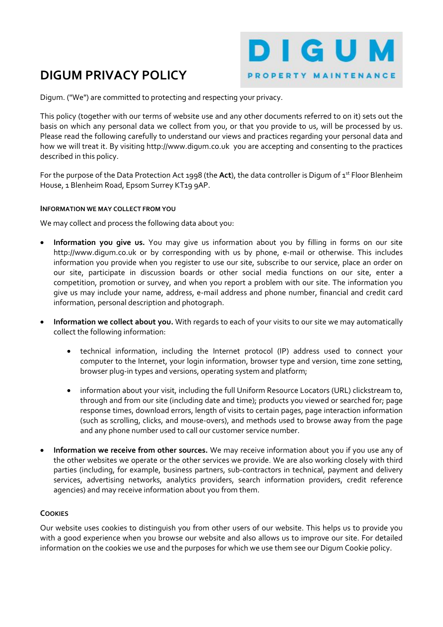# DIGUM PRIVACY POLICY



Digum. ("We") are committed to protecting and respecting your privacy.

This policy (together with our terms of website use and any other documents referred to on it) sets out the basis on which any personal data we collect from you, or that you provide to us, will be processed by us. Please read the following carefully to understand our views and practices regarding your personal data and how we will treat it. By visiting http://www.digum.co.uk you are accepting and consenting to the practices described in this policy.

For the purpose of the Data Protection Act 1998 (the Act), the data controller is Digum of 1st Floor Blenheim House, 1 Blenheim Road, Epsom Surrey KT19 9AP.

## INFORMATION WE MAY COLLECT FROM YOU

We may collect and process the following data about you:

- Information you give us. You may give us information about you by filling in forms on our site http://www.digum.co.uk or by corresponding with us by phone, e-mail or otherwise. This includes information you provide when you register to use our site, subscribe to our service, place an order on our site, participate in discussion boards or other social media functions on our site, enter a competition, promotion or survey, and when you report a problem with our site. The information you give us may include your name, address, e-mail address and phone number, financial and credit card information, personal description and photograph.
- Information we collect about you. With regards to each of your visits to our site we may automatically collect the following information:
	- technical information, including the Internet protocol (IP) address used to connect your computer to the Internet, your login information, browser type and version, time zone setting, browser plug-in types and versions, operating system and platform;
	- information about your visit, including the full Uniform Resource Locators (URL) clickstream to, through and from our site (including date and time); products you viewed or searched for; page response times, download errors, length of visits to certain pages, page interaction information (such as scrolling, clicks, and mouse-overs), and methods used to browse away from the page and any phone number used to call our customer service number.
- Information we receive from other sources. We may receive information about you if you use any of the other websites we operate or the other services we provide. We are also working closely with third parties (including, for example, business partners, sub-contractors in technical, payment and delivery services, advertising networks, analytics providers, search information providers, credit reference agencies) and may receive information about you from them.

### **COOKIES**

Our website uses cookies to distinguish you from other users of our website. This helps us to provide you with a good experience when you browse our website and also allows us to improve our site. For detailed information on the cookies we use and the purposes for which we use them see our Digum Cookie policy.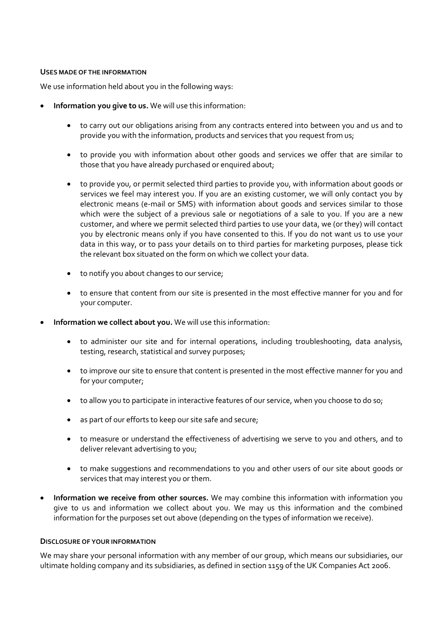### USES MADE OF THE INFORMATION

We use information held about you in the following ways:

- Information you give to us. We will use this information:
	- to carry out our obligations arising from any contracts entered into between you and us and to provide you with the information, products and services that you request from us;
	- to provide you with information about other goods and services we offer that are similar to those that you have already purchased or enquired about;
	- to provide you, or permit selected third parties to provide you, with information about goods or services we feel may interest you. If you are an existing customer, we will only contact you by electronic means (e-mail or SMS) with information about goods and services similar to those which were the subject of a previous sale or negotiations of a sale to you. If you are a new customer, and where we permit selected third parties to use your data, we (or they) will contact you by electronic means only if you have consented to this. If you do not want us to use your data in this way, or to pass your details on to third parties for marketing purposes, please tick the relevant box situated on the form on which we collect your data.
	- to notify you about changes to our service;
	- to ensure that content from our site is presented in the most effective manner for you and for your computer.
- Information we collect about you. We will use this information:
	- to administer our site and for internal operations, including troubleshooting, data analysis, testing, research, statistical and survey purposes;
	- to improve our site to ensure that content is presented in the most effective manner for you and for your computer;
	- to allow you to participate in interactive features of our service, when you choose to do so;
	- as part of our efforts to keep our site safe and secure;
	- to measure or understand the effectiveness of advertising we serve to you and others, and to deliver relevant advertising to you;
	- to make suggestions and recommendations to you and other users of our site about goods or services that may interest you or them.
- Information we receive from other sources. We may combine this information with information you give to us and information we collect about you. We may us this information and the combined information for the purposes set out above (depending on the types of information we receive).

### DISCLOSURE OF YOUR INFORMATION

We may share your personal information with any member of our group, which means our subsidiaries, our ultimate holding company and its subsidiaries, as defined in section 1159 of the UK Companies Act 2006.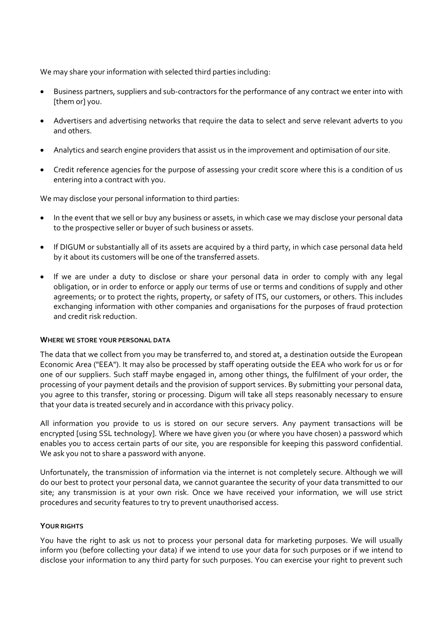We may share your information with selected third parties including:

- Business partners, suppliers and sub-contractors for the performance of any contract we enter into with [them or] you.
- Advertisers and advertising networks that require the data to select and serve relevant adverts to you and others.
- Analytics and search engine providers that assist us in the improvement and optimisation of our site.
- Credit reference agencies for the purpose of assessing your credit score where this is a condition of us entering into a contract with you.

We may disclose your personal information to third parties:

- In the event that we sell or buy any business or assets, in which case we may disclose your personal data to the prospective seller or buyer of such business or assets.
- If DIGUM or substantially all of its assets are acquired by a third party, in which case personal data held by it about its customers will be one of the transferred assets.
- If we are under a duty to disclose or share your personal data in order to comply with any legal obligation, or in order to enforce or apply our terms of use or terms and conditions of supply and other agreements; or to protect the rights, property, or safety of ITS, our customers, or others. This includes exchanging information with other companies and organisations for the purposes of fraud protection and credit risk reduction.

### WHERE WE STORE YOUR PERSONAL DATA

The data that we collect from you may be transferred to, and stored at, a destination outside the European Economic Area ("EEA"). It may also be processed by staff operating outside the EEA who work for us or for one of our suppliers. Such staff maybe engaged in, among other things, the fulfilment of your order, the processing of your payment details and the provision of support services. By submitting your personal data, you agree to this transfer, storing or processing. Digum will take all steps reasonably necessary to ensure that your data is treated securely and in accordance with this privacy policy.

All information you provide to us is stored on our secure servers. Any payment transactions will be encrypted [using SSL technology]. Where we have given you (or where you have chosen) a password which enables you to access certain parts of our site, you are responsible for keeping this password confidential. We ask you not to share a password with anyone.

Unfortunately, the transmission of information via the internet is not completely secure. Although we will do our best to protect your personal data, we cannot guarantee the security of your data transmitted to our site; any transmission is at your own risk. Once we have received your information, we will use strict procedures and security features to try to prevent unauthorised access.

### YOUR RIGHTS

You have the right to ask us not to process your personal data for marketing purposes. We will usually inform you (before collecting your data) if we intend to use your data for such purposes or if we intend to disclose your information to any third party for such purposes. You can exercise your right to prevent such